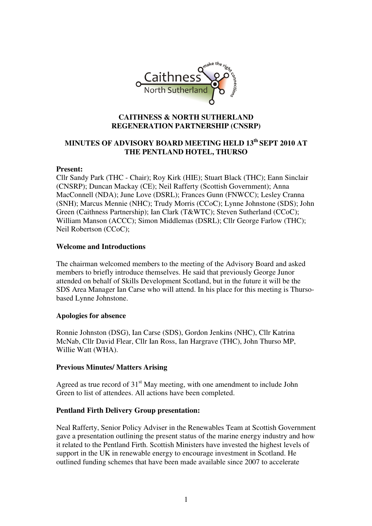

#### **CAITHNESS & NORTH SUTHERLAND REGENERATION PARTNERSHIP (CNSRP)**

# **MINUTES OF ADVISORY BOARD MEETING HELD 13th SEPT 2010 AT THE PENTLAND HOTEL, THURSO**

#### **Present:**

Cllr Sandy Park (THC - Chair); Roy Kirk (HIE); Stuart Black (THC); Eann Sinclair (CNSRP); Duncan Mackay (CE); Neil Rafferty (Scottish Government); Anna MacConnell (NDA); June Love (DSRL); Frances Gunn (FNWCC); Lesley Cranna (SNH); Marcus Mennie (NHC); Trudy Morris (CCoC); Lynne Johnstone (SDS); John Green (Caithness Partnership); Ian Clark (T&WTC); Steven Sutherland (CCoC); William Manson (ACCC); Simon Middlemas (DSRL); Cllr George Farlow (THC); Neil Robertson (CCoC);

#### **Welcome and Introductions**

The chairman welcomed members to the meeting of the Advisory Board and asked members to briefly introduce themselves. He said that previously George Junor attended on behalf of Skills Development Scotland, but in the future it will be the SDS Area Manager Ian Carse who will attend. In his place for this meeting is Thursobased Lynne Johnstone.

#### **Apologies for absence**

Ronnie Johnston (DSG), Ian Carse (SDS), Gordon Jenkins (NHC), Cllr Katrina McNab, Cllr David Flear, Cllr Ian Ross, Ian Hargrave (THC), John Thurso MP, Willie Watt (WHA).

#### **Previous Minutes/ Matters Arising**

Agreed as true record of  $31<sup>st</sup>$  May meeting, with one amendment to include John Green to list of attendees. All actions have been completed.

#### **Pentland Firth Delivery Group presentation:**

Neal Rafferty, Senior Policy Adviser in the Renewables Team at Scottish Government gave a presentation outlining the present status of the marine energy industry and how it related to the Pentland Firth. Scottish Ministers have invested the highest levels of support in the UK in renewable energy to encourage investment in Scotland. He outlined funding schemes that have been made available since 2007 to accelerate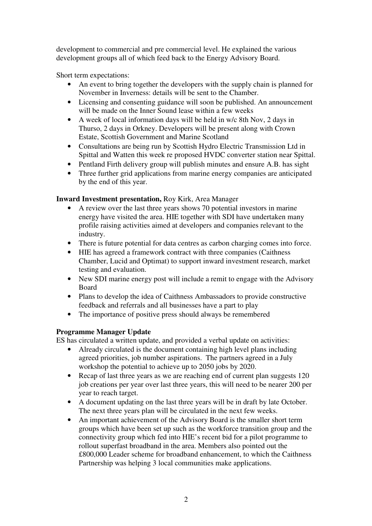development to commercial and pre commercial level. He explained the various development groups all of which feed back to the Energy Advisory Board.

Short term expectations:

- An event to bring together the developers with the supply chain is planned for November in Inverness: details will be sent to the Chamber.
- Licensing and consenting guidance will soon be published. An announcement will be made on the Inner Sound lease within a few weeks
- A week of local information days will be held in w/c 8th Nov, 2 days in Thurso, 2 days in Orkney. Developers will be present along with Crown Estate, Scottish Government and Marine Scotland
- Consultations are being run by Scottish Hydro Electric Transmission Ltd in Spittal and Watten this week re proposed HVDC converter station near Spittal.
- Pentland Firth delivery group will publish minutes and ensure A.B. has sight
- Three further grid applications from marine energy companies are anticipated by the end of this year.

# **Inward Investment presentation,** Roy Kirk, Area Manager

- A review over the last three years shows 70 potential investors in marine energy have visited the area. HIE together with SDI have undertaken many profile raising activities aimed at developers and companies relevant to the industry.
- There is future potential for data centres as carbon charging comes into force.
- HIE has agreed a framework contract with three companies (Caithness Chamber, Lucid and Optimat) to support inward investment research, market testing and evaluation.
- New SDI marine energy post will include a remit to engage with the Advisory Board
- Plans to develop the idea of Caithness Ambassadors to provide constructive feedback and referrals and all businesses have a part to play
- The importance of positive press should always be remembered

# **Programme Manager Update**

ES has circulated a written update, and provided a verbal update on activities:

- Already circulated is the document containing high level plans including agreed priorities, job number aspirations. The partners agreed in a July workshop the potential to achieve up to 2050 jobs by 2020.
- Recap of last three years as we are reaching end of current plan suggests 120 job creations per year over last three years, this will need to be nearer 200 per year to reach target.
- A document updating on the last three years will be in draft by late October. The next three years plan will be circulated in the next few weeks.
- An important achievement of the Advisory Board is the smaller short term groups which have been set up such as the workforce transition group and the connectivity group which fed into HIE's recent bid for a pilot programme to rollout superfast broadband in the area. Members also pointed out the £800,000 Leader scheme for broadband enhancement, to which the Caithness Partnership was helping 3 local communities make applications.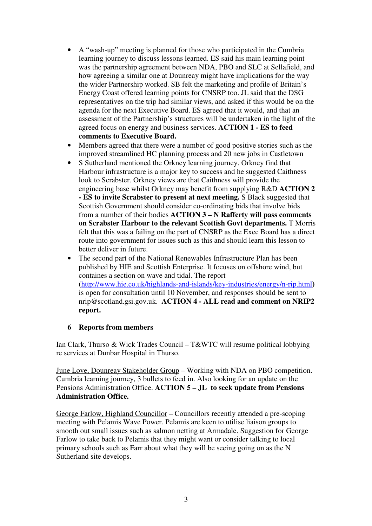- A "wash-up" meeting is planned for those who participated in the Cumbria learning journey to discuss lessons learned. ES said his main learning point was the partnership agreement between NDA, PBO and SLC at Sellafield, and how agreeing a similar one at Dounreay might have implications for the way the wider Partnership worked. SB felt the marketing and profile of Britain's Energy Coast offered learning points for CNSRP too. JL said that the DSG representatives on the trip had similar views, and asked if this would be on the agenda for the next Executive Board. ES agreed that it would, and that an assessment of the Partnership's structures will be undertaken in the light of the agreed focus on energy and business services. **ACTION 1 - ES to feed comments to Executive Board.**
- Members agreed that there were a number of good positive stories such as the improved streamlined HC planning process and 20 new jobs in Castletown
- S Sutherland mentioned the Orkney learning journey. Orkney find that Harbour infrastructure is a major key to success and he suggested Caithness look to Scrabster. Orkney views are that Caithness will provide the engineering base whilst Orkney may benefit from supplying R&D **ACTION 2 - ES to invite Scrabster to present at next meeting.** S Black suggested that Scottish Government should consider co-ordinating bids that involve bids from a number of their bodies **ACTION 3 – N Rafferty will pass comments on Scrabster Harbour to the relevant Scottish Govt departments.** T Morris felt that this was a failing on the part of CNSRP as the Exec Board has a direct route into government for issues such as this and should learn this lesson to better deliver in future.
- The second part of the National Renewables Infrastructure Plan has been published by HIE and Scottish Enterprise. It focuses on offshore wind, but containes a section on wave and tidal. The report (http://www.hie.co.uk/highlands-and-islands/key-industries/energy/n-rip.html**)** is open for consultation until 10 November, and responses should be sent to nrip@scotland.gsi.gov.uk. **ACTION 4 - ALL read and comment on NRIP2 report.**

## **6 Reports from members**

Ian Clark, Thurso & Wick Trades Council – T&WTC will resume political lobbying re services at Dunbar Hospital in Thurso.

June Love, Dounreay Stakeholder Group – Working with NDA on PBO competition. Cumbria learning journey, 3 bullets to feed in. Also looking for an update on the Pensions Administration Office. **ACTION 5 – JL to seek update from Pensions Administration Office.** 

George Farlow, Highland Councillor – Councillors recently attended a pre-scoping meeting with Pelamis Wave Power. Pelamis are keen to utilise liaison groups to smooth out small issues such as salmon netting at Armadale. Suggestion for George Farlow to take back to Pelamis that they might want or consider talking to local primary schools such as Farr about what they will be seeing going on as the N Sutherland site develops.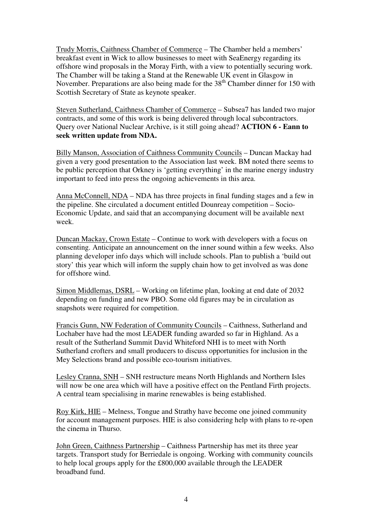Trudy Morris, Caithness Chamber of Commerce – The Chamber held a members' breakfast event in Wick to allow businesses to meet with SeaEnergy regarding its offshore wind proposals in the Moray Firth, with a view to potentially securing work. The Chamber will be taking a Stand at the Renewable UK event in Glasgow in November. Preparations are also being made for the  $38<sup>th</sup>$  Chamber dinner for 150 with Scottish Secretary of State as keynote speaker.

Steven Sutherland, Caithness Chamber of Commerce – Subsea7 has landed two major contracts, and some of this work is being delivered through local subcontractors. Query over National Nuclear Archive, is it still going ahead? **ACTION 6 - Eann to seek written update from NDA.** 

Billy Manson, Association of Caithness Community Councils – Duncan Mackay had given a very good presentation to the Association last week. BM noted there seems to be public perception that Orkney is 'getting everything' in the marine energy industry important to feed into press the ongoing achievements in this area.

Anna McConnell, NDA – NDA has three projects in final funding stages and a few in the pipeline. She circulated a document entitled Dounreay competition – Socio-Economic Update, and said that an accompanying document will be available next week.

Duncan Mackay, Crown Estate – Continue to work with developers with a focus on consenting. Anticipate an announcement on the inner sound within a few weeks. Also planning developer info days which will include schools. Plan to publish a 'build out story' this year which will inform the supply chain how to get involved as was done for offshore wind.

Simon Middlemas, DSRL – Working on lifetime plan, looking at end date of 2032 depending on funding and new PBO. Some old figures may be in circulation as snapshots were required for competition.

Francis Gunn, NW Federation of Community Councils – Caithness, Sutherland and Lochaber have had the most LEADER funding awarded so far in Highland. As a result of the Sutherland Summit David Whiteford NHI is to meet with North Sutherland crofters and small producers to discuss opportunities for inclusion in the Mey Selections brand and possible eco-tourism initiatives.

Lesley Cranna, SNH – SNH restructure means North Highlands and Northern Isles will now be one area which will have a positive effect on the Pentland Firth projects. A central team specialising in marine renewables is being established.

Roy Kirk, HIE – Melness, Tongue and Strathy have become one joined community for account management purposes. HIE is also considering help with plans to re-open the cinema in Thurso.

John Green, Caithness Partnership – Caithness Partnership has met its three year targets. Transport study for Berriedale is ongoing. Working with community councils to help local groups apply for the £800,000 available through the LEADER broadband fund.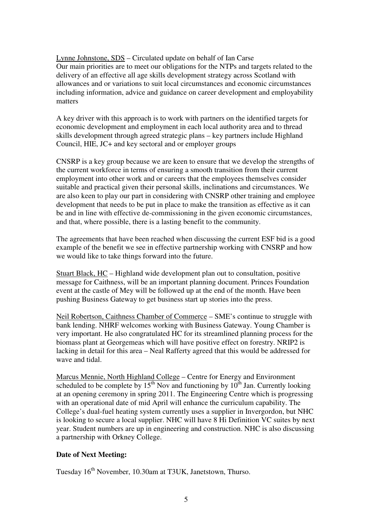Lynne Johnstone, SDS – Circulated update on behalf of Ian Carse Our main priorities are to meet our obligations for the NTPs and targets related to the delivery of an effective all age skills development strategy across Scotland with allowances and or variations to suit local circumstances and economic circumstances including information, advice and guidance on career development and employability matters

A key driver with this approach is to work with partners on the identified targets for economic development and employment in each local authority area and to thread skills development through agreed strategic plans – key partners include Highland Council, HIE, JC+ and key sectoral and or employer groups

CNSRP is a key group because we are keen to ensure that we develop the strengths of the current workforce in terms of ensuring a smooth transition from their current employment into other work and or careers that the employees themselves consider suitable and practical given their personal skills, inclinations and circumstances. We are also keen to play our part in considering with CNSRP other training and employee development that needs to be put in place to make the transition as effective as it can be and in line with effective de-commissioning in the given economic circumstances, and that, where possible, there is a lasting benefit to the community.

The agreements that have been reached when discussing the current ESF bid is a good example of the benefit we see in effective partnership working with CNSRP and how we would like to take things forward into the future.

Stuart Black, HC – Highland wide development plan out to consultation, positive message for Caithness, will be an important planning document. Princes Foundation event at the castle of Mey will be followed up at the end of the month. Have been pushing Business Gateway to get business start up stories into the press.

Neil Robertson, Caithness Chamber of Commerce – SME's continue to struggle with bank lending. NHRF welcomes working with Business Gateway. Young Chamber is very important. He also congratulated HC for its streamlined planning process for the biomass plant at Georgemeas which will have positive effect on forestry. NRIP2 is lacking in detail for this area – Neal Rafferty agreed that this would be addressed for wave and tidal.

Marcus Mennie, North Highland College – Centre for Energy and Environment scheduled to be complete by  $15<sup>th</sup>$  Nov and functioning by  $10<sup>th</sup>$  Jan. Currently looking at an opening ceremony in spring 2011. The Engineering Centre which is progressing with an operational date of mid April will enhance the curriculum capability. The College's dual-fuel heating system currently uses a supplier in Invergordon, but NHC is looking to secure a local supplier. NHC will have 8 Hi Definition VC suites by next year. Student numbers are up in engineering and construction. NHC is also discussing a partnership with Orkney College.

## **Date of Next Meeting:**

Tuesday 16<sup>th</sup> November, 10.30am at T3UK, Janetstown, Thurso.